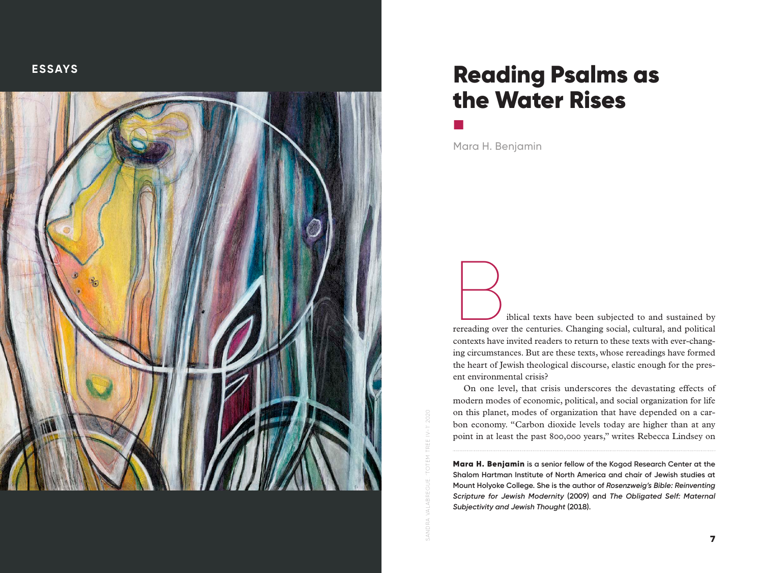

# Reading Psalms as the Water Rises

Mara H. Benjamin

■

**Biblical texts have been subjected to and sustained by** rereading over the centuries. Changing social, cultural, and political contexts have invited readers to return to these texts with ever-chang ing circumstances. But are these texts, whose rereadings have formed the heart of Jewish theological discourse, elastic enough for the pres ent environmental crisis?

On one level, that crisis underscores the devastating effects of modern modes of economic, political, and social organization for life on this planet, modes of organization that have depended on a car bon economy. "Carbon dioxide levels today are higher than at any point in at least the past 800,000 years," writes Rebecca Lindsey on

Mara H. Benjamin **is a senior fellow of the Kogod Research Center at the Shalom Hartman Institute of North America and chair of Jewish studies at Mount Holyoke College. She is the author of** *Rosenzweig's Bible: Reinventing Scripture for Jewish Modernity* **(2009) and** *The Obligated Self: Maternal Subjectivity and Jewish Thought* **(2018).**

SANDRA VALABREGUE. 'TOTEM TREE IV-1' 2020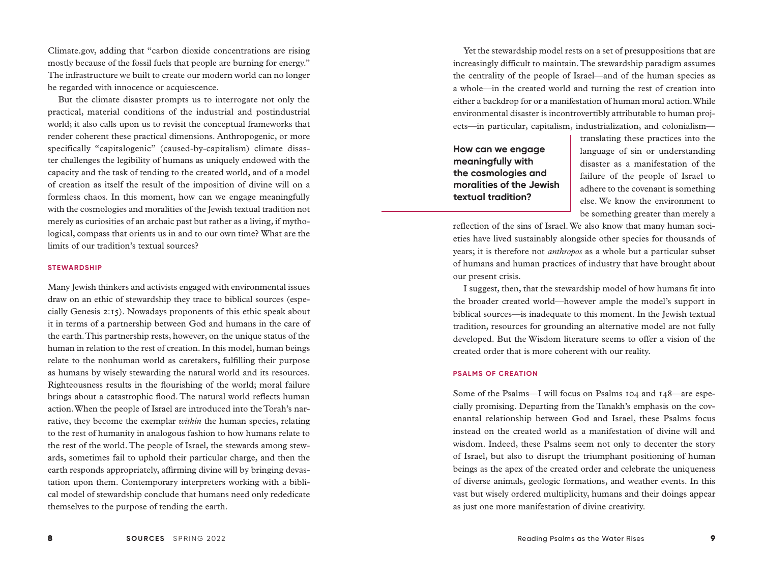Climate.gov, adding that "carbon dioxide concentrations are rising mostly because of the fossil fuels that people are burning for energy." The infrastructure we built to create our modern world can no longer be regarded with innocence or acquiescence.

But the climate disaster prompts us to interrogate not only the practical, material conditions of the industrial and postindustrial world; it also calls upon us to revisit the conceptual frameworks that render coherent these practical dimensions. Anthropogenic, or more specifically "capitalogenic" (caused-by-capitalism) climate disaster challenges the legibility of humans as uniquely endowed with the capacity and the task of tending to the created world, and of a model of creation as itself the result of the imposition of divine will on a formless chaos. In this moment, how can we engage meaningfully with the cosmologies and moralities of the Jewish textual tradition not merely as curiosities of an archaic past but rather as a living, if mythological, compass that orients us in and to our own time? What are the limits of our tradition's textual sources?

#### **STEWARDSHIP**

Many Jewish thinkers and activists engaged with environmental issues draw on an ethic of stewardship they trace to biblical sources (especially Genesis 2:15). Nowadays proponents of this ethic speak about it in terms of a partnership between God and humans in the care of the earth. This partnership rests, however, on the unique status of the human in relation to the rest of creation. In this model, human beings relate to the nonhuman world as caretakers, fulfilling their purpose as humans by wisely stewarding the natural world and its resources. Righteousness results in the flourishing of the world; moral failure brings about a catastrophic flood. The natural world reflects human action. When the people of Israel are introduced into the Torah's narrative, they become the exemplar *within* the human species, relating to the rest of humanity in analogous fashion to how humans relate to the rest of the world. The people of Israel, the stewards among stewards, sometimes fail to uphold their particular charge, and then the earth responds appropriately, affirming divine will by bringing devastation upon them. Contemporary interpreters working with a biblical model of stewardship conclude that humans need only rededicate themselves to the purpose of tending the earth.

Yet the stewardship model rests on a set of presuppositions that are increasingly difficult to maintain. The stewardship paradigm assumes the centrality of the people of Israel—and of the human species as a whole—in the created world and turning the rest of creation into either a backdrop for or a manifestation of human moral action. While environmental disaster is incontrovertibly attributable to human projects—in particular, capitalism, industrialization, and colonialism—

**How can we engage meaningfully with the cosmologies and moralities of the Jewish textual tradition?**

translating these practices into the language of sin or understanding disaster as a manifestation of the failure of the people of Israel to adhere to the covenant is something else. We know the environment to be something greater than merely a

reflection of the sins of Israel. We also know that many human societies have lived sustainably alongside other species for thousands of years; it is therefore not *anthropos* as a whole but a particular subset of humans and human practices of industry that have brought about our present crisis.

I suggest, then, that the stewardship model of how humans fit into the broader created world—however ample the model's support in biblical sources—is inadequate to this moment. In the Jewish textual tradition, resources for grounding an alternative model are not fully developed. But the Wisdom literature seems to offer a vision of the created order that is more coherent with our reality.

#### **PSALMS OF CREATION**

Some of the Psalms—I will focus on Psalms 104 and 148—are especially promising. Departing from the Tanakh's emphasis on the covenantal relationship between God and Israel, these Psalms focus instead on the created world as a manifestation of divine will and wisdom. Indeed, these Psalms seem not only to decenter the story of Israel, but also to disrupt the triumphant positioning of human beings as the apex of the created order and celebrate the uniqueness of diverse animals, geologic formations, and weather events. In this vast but wisely ordered multiplicity, humans and their doings appear as just one more manifestation of divine creativity.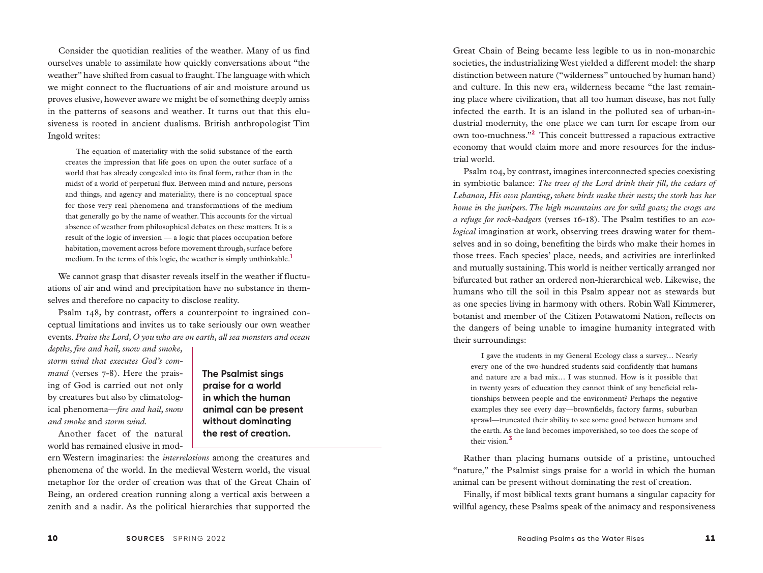Consider the quotidian realities of the weather. Many of us find ourselves unable to assimilate how quickly conversations about "the weather" have shifted from casual to fraught. The language with which we might connect to the fluctuations of air and moisture around us proves elusive, however aware we might be of something deeply amiss in the patterns of seasons and weather. It turns out that this elusiveness is rooted in ancient dualisms. British anthropologist Tim Ingold writes:

The equation of materiality with the solid substance of the earth creates the impression that life goes on upon the outer surface of a world that has already congealed into its final form, rather than in the midst of a world of perpetual flux. Between mind and nature, persons and things, and agency and materiality, there is no conceptual space for those very real phenomena and transformations of the medium that generally go by the name of weather. This accounts for the virtual absence of weather from philosophical debates on these matters. It is a result of the logic of inversion — a logic that places occupation before habitation, movement across before movement through, surface before medium. In the terms of this logic, the weather is simply unthinkable.**<sup>1</sup>**

We cannot grasp that disaster reveals itself in the weather if fluctuations of air and wind and precipitation have no substance in themselves and therefore no capacity to disclose reality.

Psalm 148, by contrast, offers a counterpoint to ingrained conceptual limitations and invites us to take seriously our own weather events. *Praise the Lord, O you who are on earth, all sea monsters and ocean* 

*depths, fire and hail, snow and smoke, storm wind that executes God's command* (verses 7-8). Here the praising of God is carried out not only by creatures but also by climatological phenomena—*fire and hail, snow and smoke* and *storm wind*.

Another facet of the natural world has remained elusive in mod-

**The Psalmist sings praise for a world in which the human animal can be present without dominating the rest of creation.**

ern Western imaginaries: the *interrelations* among the creatures and phenomena of the world. In the medieval Western world, the visual metaphor for the order of creation was that of the Great Chain of Being, an ordered creation running along a vertical axis between a zenith and a nadir. As the political hierarchies that supported the

Great Chain of Being became less legible to us in non-monarchic societies, the industrializing West yielded a different model: the sharp distinction between nature ("wilderness" untouched by human hand) and culture. In this new era, wilderness became "the last remaining place where civilization, that all too human disease, has not fully infected the earth. It is an island in the polluted sea of urban-industrial modernity, the one place we can turn for escape from our own too-muchness."**<sup>2</sup>** This conceit buttressed a rapacious extractive economy that would claim more and more resources for the industrial world.

Psalm 104, by contrast, imagines interconnected species coexisting in symbiotic balance: *The trees of the Lord drink their fill, the cedars of Lebanon, His own planting, where birds make their nests; the stork has her home in the junipers. The high mountains are for wild goats; the crags are a refuge for rock-badgers* (verses 16-18). The Psalm testifies to an *ecological* imagination at work, observing trees drawing water for themselves and in so doing, benefiting the birds who make their homes in those trees. Each species' place, needs, and activities are interlinked and mutually sustaining. This world is neither vertically arranged nor bifurcated but rather an ordered non-hierarchical web. Likewise, the humans who till the soil in this Psalm appear not as stewards but as one species living in harmony with others. Robin Wall Kimmerer, botanist and member of the Citizen Potawatomi Nation, reflects on the dangers of being unable to imagine humanity integrated with their surroundings:

I gave the students in my General Ecology class a survey… Nearly every one of the two-hundred students said confidently that humans and nature are a bad mix… I was stunned. How is it possible that in twenty years of education they cannot think of any beneficial relationships between people and the environment? Perhaps the negative examples they see every day—brownfields, factory farms, suburban sprawl—truncated their ability to see some good between humans and the earth. As the land becomes impoverished, so too does the scope of their vision.**<sup>3</sup>**

Rather than placing humans outside of a pristine, untouched "nature," the Psalmist sings praise for a world in which the human animal can be present without dominating the rest of creation.

Finally, if most biblical texts grant humans a singular capacity for willful agency, these Psalms speak of the animacy and responsiveness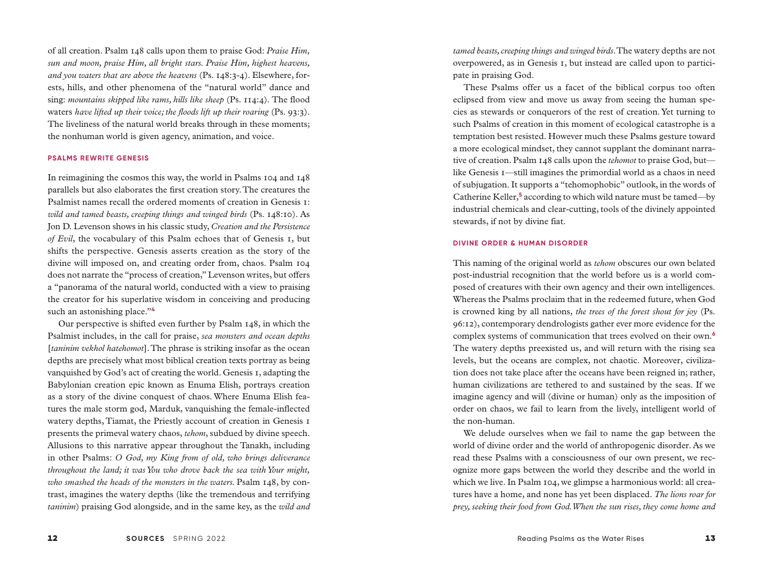of all creation. Psalm 148 calls upon them to praise God: *Praise Him, sun and moon, praise Him, all bright stars. Praise Him, highest heavens, and you waters that are above the heavens* (Ps. 148:3-4). Elsewhere, forests, hills, and other phenomena of the "natural world" dance and sing: *mountains skipped like rams, hills like sheep* (Ps. 114:4)*.* The flood waters have lifted up their voice; the floods lift up their roaring (Ps. 93:3). The liveliness of the natural world breaks through in these moments; the nonhuman world is given agency, animation, and voice.

#### **PSALMS REWRITE GENESIS**

In reimagining the cosmos this way, the world in Psalms 104 and 148 parallels but also elaborates the first creation story. The creatures the Psalmist names recall the ordered moments of creation in Genesis 1: *wild and tamed beasts, creeping things and winged birds* (Ps. 148:10). As Jon D. Levenson shows in his classic study, *Creation and the Persistence of Evil*, the vocabulary of this Psalm echoes that of Genesis 1, but shifts the perspective. Genesis asserts creation as the story of the divine will imposed on, and creating order from, chaos. Psalm 104 does not narrate the "process of creation," Levenson writes, but offers a "panorama of the natural world, conducted with a view to praising the creator for his superlative wisdom in conceiving and producing such an astonishing place."**<sup>4</sup>**

Our perspective is shifted even further by Psalm 148, in which the Psalmist includes, in the call for praise, *sea monsters and ocean depths*  [*taninim vekhol hatehomot*]. The phrase is striking insofar as the ocean depths are precisely what most biblical creation texts portray as being vanquished by God's act of creating the world. Genesis 1, adapting the Babylonian creation epic known as Enuma Elish, portrays creation as a story of the divine conquest of chaos. Where Enuma Elish features the male storm god, Marduk, vanquishing the female-inflected watery depths, Tiamat, the Priestly account of creation in Genesis 1 presents the primeval watery chaos, *tehom*, subdued by divine speech. Allusions to this narrative appear throughout the Tanakh, including in other Psalms: *O God, my King from of old, who brings deliverance throughout the land; it was You who drove back the sea with Your might, who smashed the heads of the monsters in the waters.* Psalm 148, by contrast, imagines the watery depths (like the tremendous and terrifying *taninim*) praising God alongside, and in the same key, as the *wild and* 

*tamed beasts, creeping things and winged birds*. The watery depths are not overpowered, as in Genesis 1, but instead are called upon to participate in praising God.

These Psalms offer us a facet of the biblical corpus too often eclipsed from view and move us away from seeing the human species as stewards or conquerors of the rest of creation. Yet turning to such Psalms of creation in this moment of ecological catastrophe is a temptation best resisted. However much these Psalms gesture toward a more ecological mindset, they cannot supplant the dominant narrative of creation. Psalm 148 calls upon the *tehomot* to praise God, but like Genesis 1—still imagines the primordial world as a chaos in need of subjugation. It supports a "tehomophobic" outlook, in the words of Catherine Keller,<sup>5</sup> according to which wild nature must be tamed—by industrial chemicals and clear-cutting, tools of the divinely appointed stewards, if not by divine fiat.

### **DIVINE ORDER & HUMAN DISORDER**

This naming of the original world as *tehom* obscures our own belated post-industrial recognition that the world before us is a world composed of creatures with their own agency and their own intelligences. Whereas the Psalms proclaim that in the redeemed future, when God is crowned king by all nations, *the trees of the forest shout for joy* (Ps. 96:12), contemporary dendrologists gather ever more evidence for the complex systems of communication that trees evolved on their own.**<sup>6</sup>** The watery depths preexisted us, and will return with the rising sea levels, but the oceans are complex, not chaotic. Moreover, civilization does not take place after the oceans have been reigned in; rather, human civilizations are tethered to and sustained by the seas. If we imagine agency and will (divine or human) only as the imposition of order on chaos, we fail to learn from the lively, intelligent world of the non-human.

We delude ourselves when we fail to name the gap between the world of divine order and the world of anthropogenic disorder. As we read these Psalms with a consciousness of our own present, we recognize more gaps between the world they describe and the world in which we live. In Psalm 104, we glimpse a harmonious world: all creatures have a home, and none has yet been displaced. *The lions roar for prey, seeking their food from God. When the sun rises, they come home and*